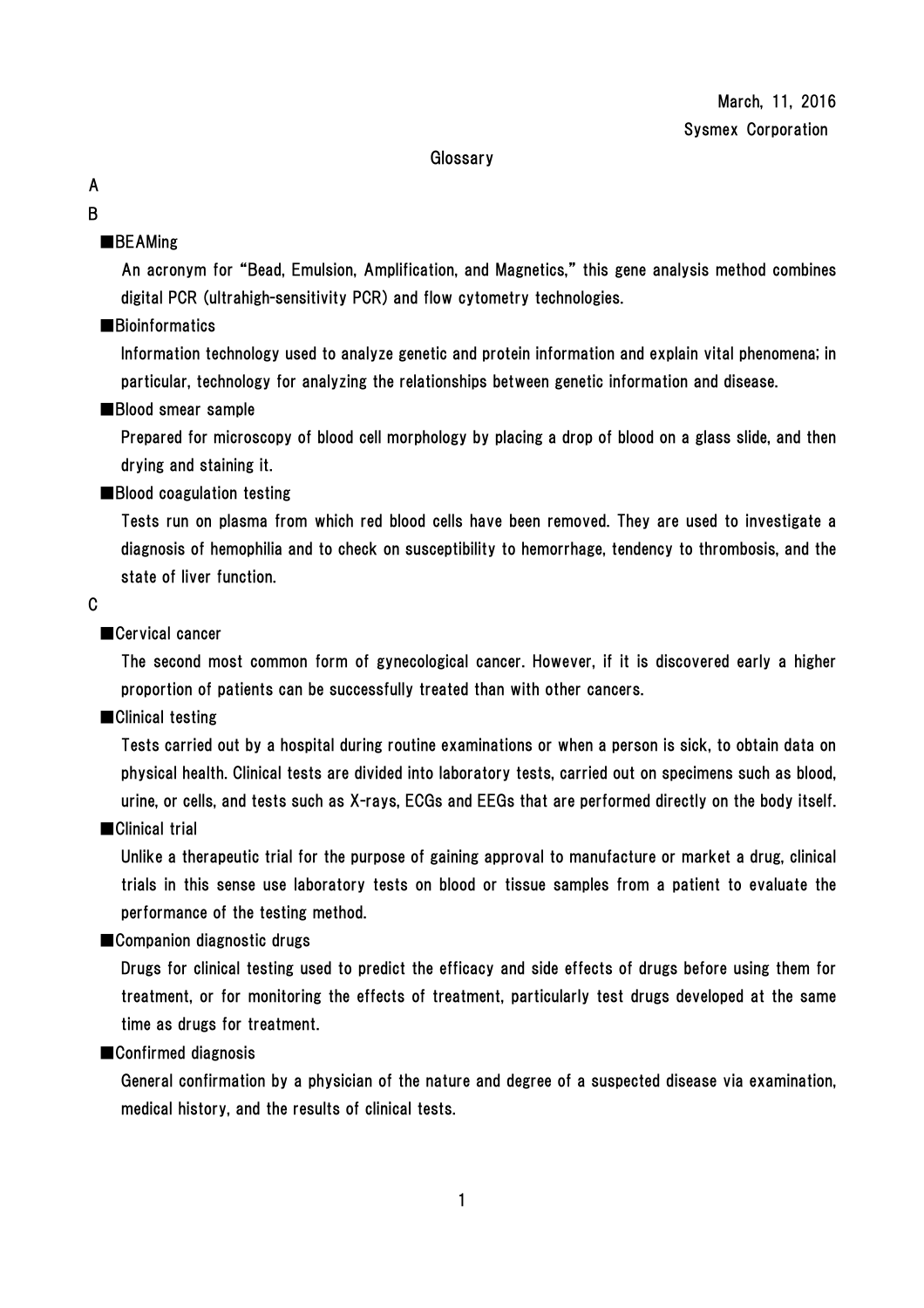### **Glossary**

# A

# B

# ■BEAMing

An acronym for "Bead, Emulsion, Amplification, and Magnetics," this gene analysis method combines digital PCR (ultrahigh-sensitivity PCR) and flow cytometry technologies.

### ■Bioinformatics

Information technology used to analyze genetic and protein information and explain vital phenomena; in particular, technology for analyzing the relationships between genetic information and disease.

### ■Blood smear sample

Prepared for microscopy of blood cell morphology by placing a drop of blood on a glass slide, and then drying and staining it.

# ■Blood coagulation testing

Tests run on plasma from which red blood cells have been removed. They are used to investigate a diagnosis of hemophilia and to check on susceptibility to hemorrhage, tendency to thrombosis, and the state of liver function.

### C

# ■Cervical cancer

The second most common form of gynecological cancer. However, if it is discovered early a higher proportion of patients can be successfully treated than with other cancers.

### ■Clinical testing

Tests carried out by a hospital during routine examinations or when a person is sick, to obtain data on physical health. Clinical tests are divided into laboratory tests, carried out on specimens such as blood, urine, or cells, and tests such as X-rays, ECGs and EEGs that are performed directly on the body itself.

### ■Clinical trial

Unlike a therapeutic trial for the purpose of gaining approval to manufacture or market a drug, clinical trials in this sense use laboratory tests on blood or tissue samples from a patient to evaluate the performance of the testing method.

# ■Companion diagnostic drugs

Drugs for clinical testing used to predict the efficacy and side effects of drugs before using them for treatment, or for monitoring the effects of treatment, particularly test drugs developed at the same time as drugs for treatment.

### ■Confirmed diagnosis

General confirmation by a physician of the nature and degree of a suspected disease via examination, medical history, and the results of clinical tests.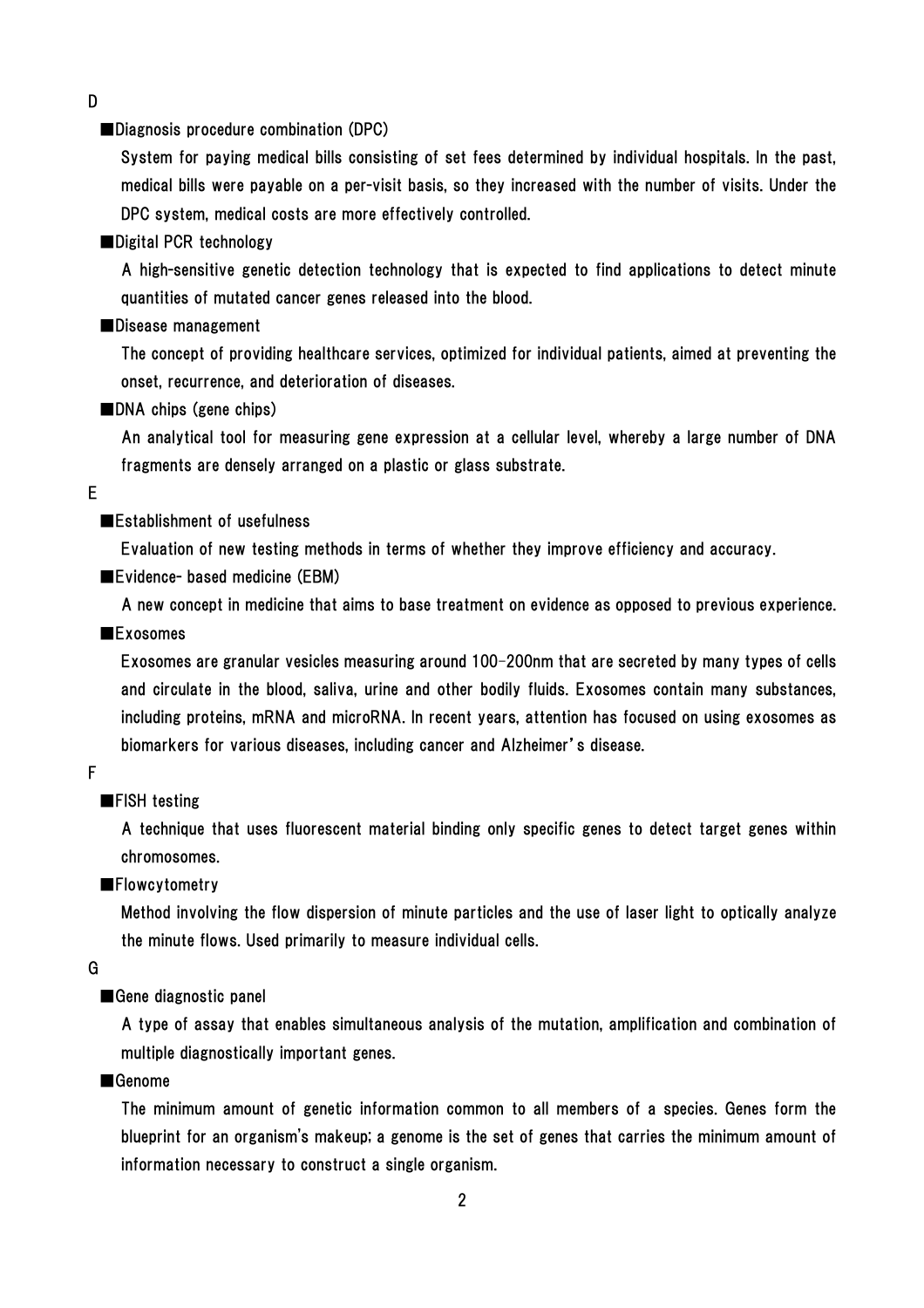D

■Diagnosis procedure combination (DPC)

System for paying medical bills consisting of set fees determined by individual hospitals. In the past, medical bills were payable on a per-visit basis, so they increased with the number of visits. Under the DPC system, medical costs are more effectively controlled.

### ■Digital PCR technology

A high-sensitive genetic detection technology that is expected to find applications to detect minute quantities of mutated cancer genes released into the blood.

### ■Disease management

The concept of providing healthcare services, optimized for individual patients, aimed at preventing the onset, recurrence, and deterioration of diseases.

■DNA chips (gene chips)

An analytical tool for measuring gene expression at a cellular level, whereby a large number of DNA fragments are densely arranged on a plastic or glass substrate.

### E

#### ■Establishment of usefulness

Evaluation of new testing methods in terms of whether they improve efficiency and accuracy.

■Evidence- based medicine (EBM)

A new concept in medicine that aims to base treatment on evidence as opposed to previous experience.

### ■Exosomes

Exosomes are granular vesicles measuring around 100–200nm that are secreted by many types of cells and circulate in the blood, saliva, urine and other bodily fluids. Exosomes contain many substances, including proteins, mRNA and microRNA. In recent years, attention has focused on using exosomes as biomarkers for various diseases, including cancer and Alzheimer's disease.

#### F

#### ■FISH testing

A technique that uses fluorescent material binding only specific genes to detect target genes within chromosomes.

### ■Flowcytometry

Method involving the flow dispersion of minute particles and the use of laser light to optically analyze the minute flows. Used primarily to measure individual cells.

#### G

■Gene diagnostic panel

A type of assay that enables simultaneous analysis of the mutation, amplification and combination of multiple diagnostically important genes.

### ■Genome

The minimum amount of genetic information common to all members of a species. Genes form the blueprint for an organism's makeup; a genome is the set of genes that carries the minimum amount of information necessary to construct a single organism.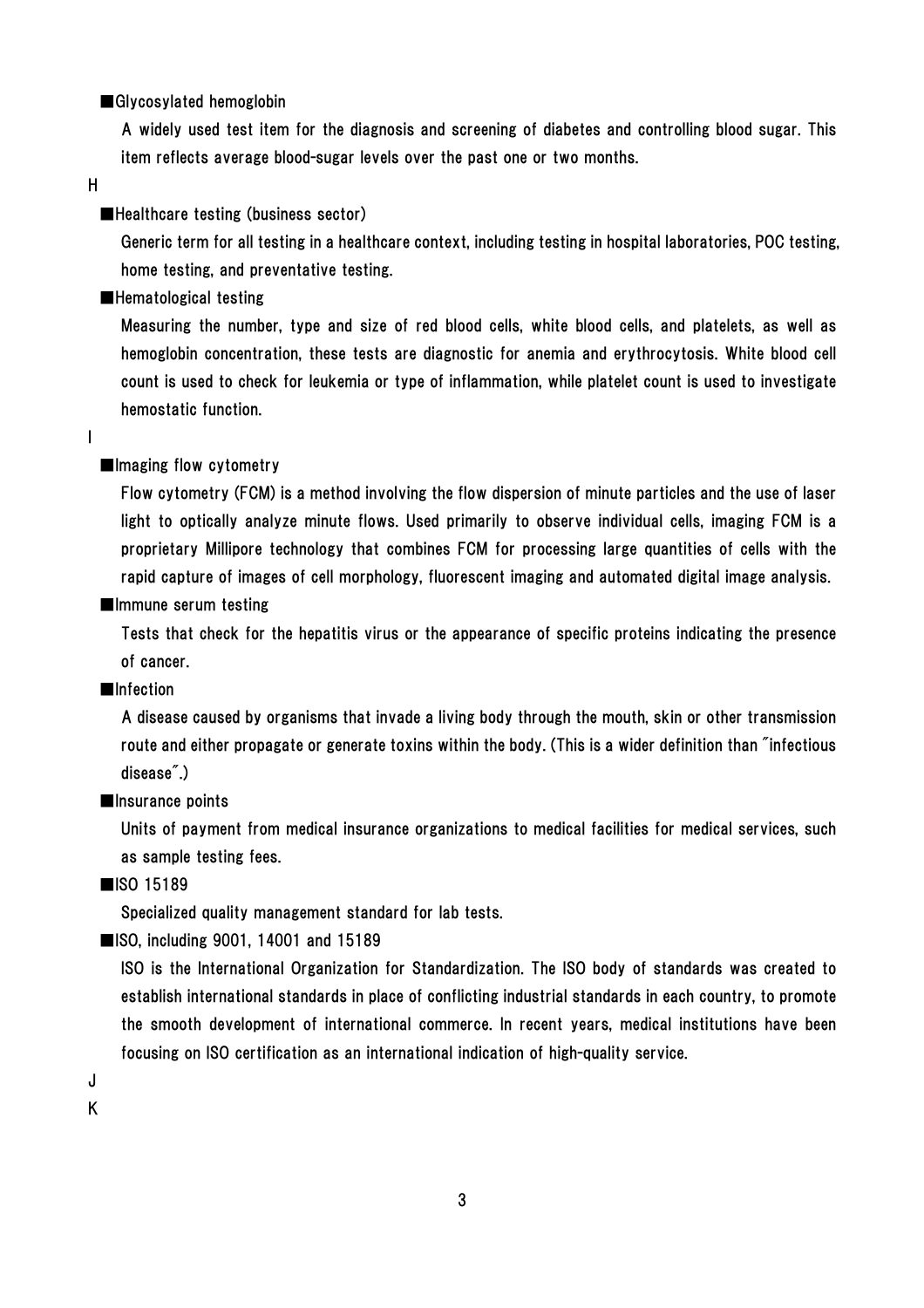### ■Glycosylated hemoglobin

A widely used test item for the diagnosis and screening of diabetes and controlling blood sugar. This item reflects average blood-sugar levels over the past one or two months.

H

### ■Healthcare testing (business sector)

Generic term for all testing in a healthcare context, including testing in hospital laboratories, POC testing, home testing, and preventative testing.

■Hematological testing

Measuring the number, type and size of red blood cells, white blood cells, and platelets, as well as hemoglobin concentration, these tests are diagnostic for anemia and erythrocytosis. White blood cell count is used to check for leukemia or type of inflammation, while platelet count is used to investigate hemostatic function.

#### I

### ■Imaging flow cytometry

Flow cytometry (FCM) is a method involving the flow dispersion of minute particles and the use of laser light to optically analyze minute flows. Used primarily to observe individual cells, imaging FCM is a proprietary Millipore technology that combines FCM for processing large quantities of cells with the rapid capture of images of cell morphology, fluorescent imaging and automated digital image analysis.

### ■Immune serum testing

Tests that check for the hepatitis virus or the appearance of specific proteins indicating the presence of cancer.

### ■Infection

A disease caused by organisms that invade a living body through the mouth, skin or other transmission route and either propagate or generate toxins within the body. (This is a wider definition than "infectious disease".)

#### ■Insurance points

Units of payment from medical insurance organizations to medical facilities for medical services, such as sample testing fees.

■ISO 15189

Specialized quality management standard for lab tests.

■ISO, including 9001, 14001 and 15189

ISO is the International Organization for Standardization. The ISO body of standards was created to establish international standards in place of conflicting industrial standards in each country, to promote the smooth development of international commerce. In recent years, medical institutions have been focusing on ISO certification as an international indication of high-quality service.

J

K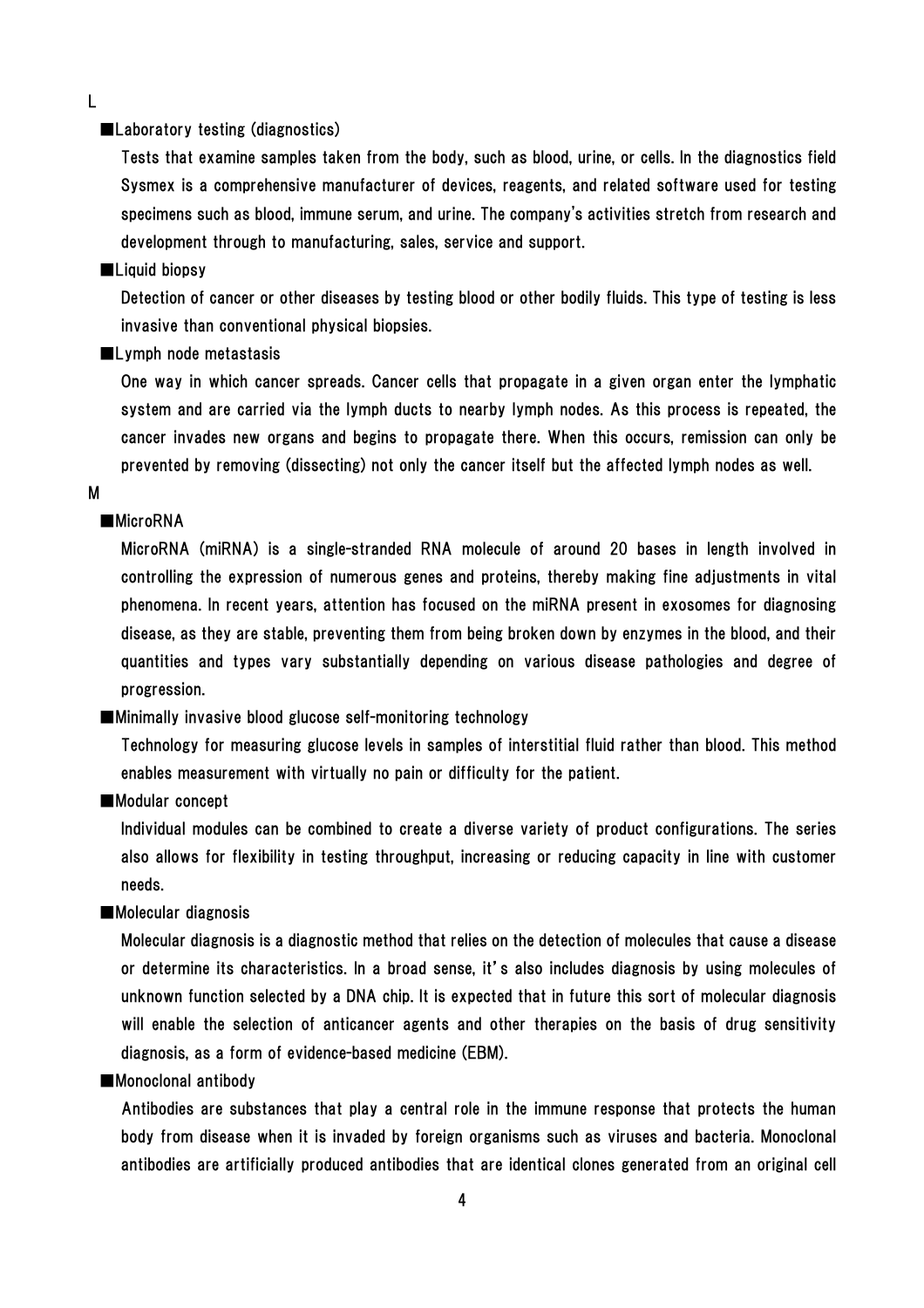L

#### ■Laboratory testing (diagnostics)

Tests that examine samples taken from the body, such as blood, urine, or cells. In the diagnostics field Sysmex is a comprehensive manufacturer of devices, reagents, and related software used for testing specimens such as blood, immune serum, and urine. The company's activities stretch from research and development through to manufacturing, sales, service and support.

#### ■Liquid biopsy

Detection of cancer or other diseases by testing blood or other bodily fluids. This type of testing is less invasive than conventional physical biopsies.

#### ■Lymph node metastasis

One way in which cancer spreads. Cancer cells that propagate in a given organ enter the lymphatic system and are carried via the lymph ducts to nearby lymph nodes. As this process is repeated, the cancer invades new organs and begins to propagate there. When this occurs, remission can only be prevented by removing (dissecting) not only the cancer itself but the affected lymph nodes as well.

#### M

### ■MicroRNA

MicroRNA (miRNA) is a single-stranded RNA molecule of around 20 bases in length involved in controlling the expression of numerous genes and proteins, thereby making fine adjustments in vital phenomena. In recent years, attention has focused on the miRNA present in exosomes for diagnosing disease, as they are stable, preventing them from being broken down by enzymes in the blood, and their quantities and types vary substantially depending on various disease pathologies and degree of progression.

#### ■Minimally invasive blood glucose self-monitoring technology

Technology for measuring glucose levels in samples of interstitial fluid rather than blood. This method enables measurement with virtually no pain or difficulty for the patient.

#### ■Modular concept

Individual modules can be combined to create a diverse variety of product configurations. The series also allows for flexibility in testing throughput, increasing or reducing capacity in line with customer needs.

### ■Molecular diagnosis

Molecular diagnosis is a diagnostic method that relies on the detection of molecules that cause a disease or determine its characteristics. In a broad sense, it's also includes diagnosis by using molecules of unknown function selected by a DNA chip. It is expected that in future this sort of molecular diagnosis will enable the selection of anticancer agents and other therapies on the basis of drug sensitivity diagnosis, as a form of evidence-based medicine (EBM).

#### ■Monoclonal antibody

Antibodies are substances that play a central role in the immune response that protects the human body from disease when it is invaded by foreign organisms such as viruses and bacteria. Monoclonal antibodies are artificially produced antibodies that are identical clones generated from an original cell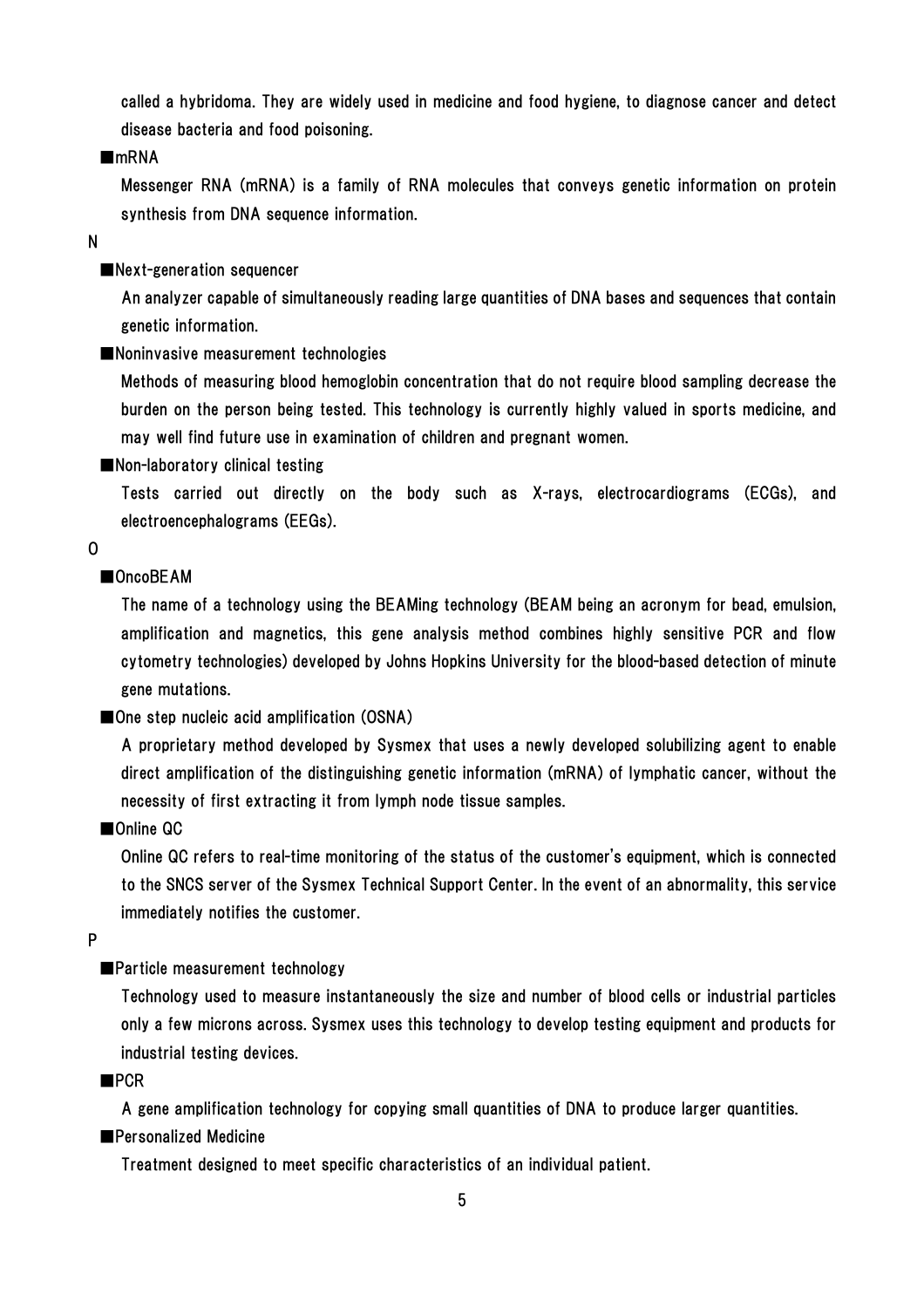called a hybridoma. They are widely used in medicine and food hygiene, to diagnose cancer and detect disease bacteria and food poisoning.

### ■mRNA

Messenger RNA (mRNA) is a family of RNA molecules that conveys genetic information on protein synthesis from DNA sequence information.

N

### ■Next-generation sequencer

An analyzer capable of simultaneously reading large quantities of DNA bases and sequences that contain genetic information.

■Noninvasive measurement technologies

Methods of measuring blood hemoglobin concentration that do not require blood sampling decrease the burden on the person being tested. This technology is currently highly valued in sports medicine, and may well find future use in examination of children and pregnant women.

■Non-laboratory clinical testing

Tests carried out directly on the body such as X-rays, electrocardiograms (ECGs), and electroencephalograms (EEGs).

 $\mathbf{0}$ 

### ■OncoBEAM

The name of a technology using the BEAMing technology (BEAM being an acronym for bead, emulsion, amplification and magnetics, this gene analysis method combines highly sensitive PCR and flow cytometry technologies) developed by Johns Hopkins University for the blood-based detection of minute gene mutations.

■One step nucleic acid amplification (OSNA)

A proprietary method developed by Sysmex that uses a newly developed solubilizing agent to enable direct amplification of the distinguishing genetic information (mRNA) of lymphatic cancer, without the necessity of first extracting it from lymph node tissue samples.

■Online QC

Online QC refers to real-time monitoring of the status of the customer's equipment, which is connected to the SNCS server of the Sysmex Technical Support Center. In the event of an abnormality, this service immediately notifies the customer.

P

### ■Particle measurement technology

Technology used to measure instantaneously the size and number of blood cells or industrial particles only a few microns across. Sysmex uses this technology to develop testing equipment and products for industrial testing devices.

### ■PCR

A gene amplification technology for copying small quantities of DNA to produce larger quantities.

### ■Personalized Medicine

Treatment designed to meet specific characteristics of an individual patient.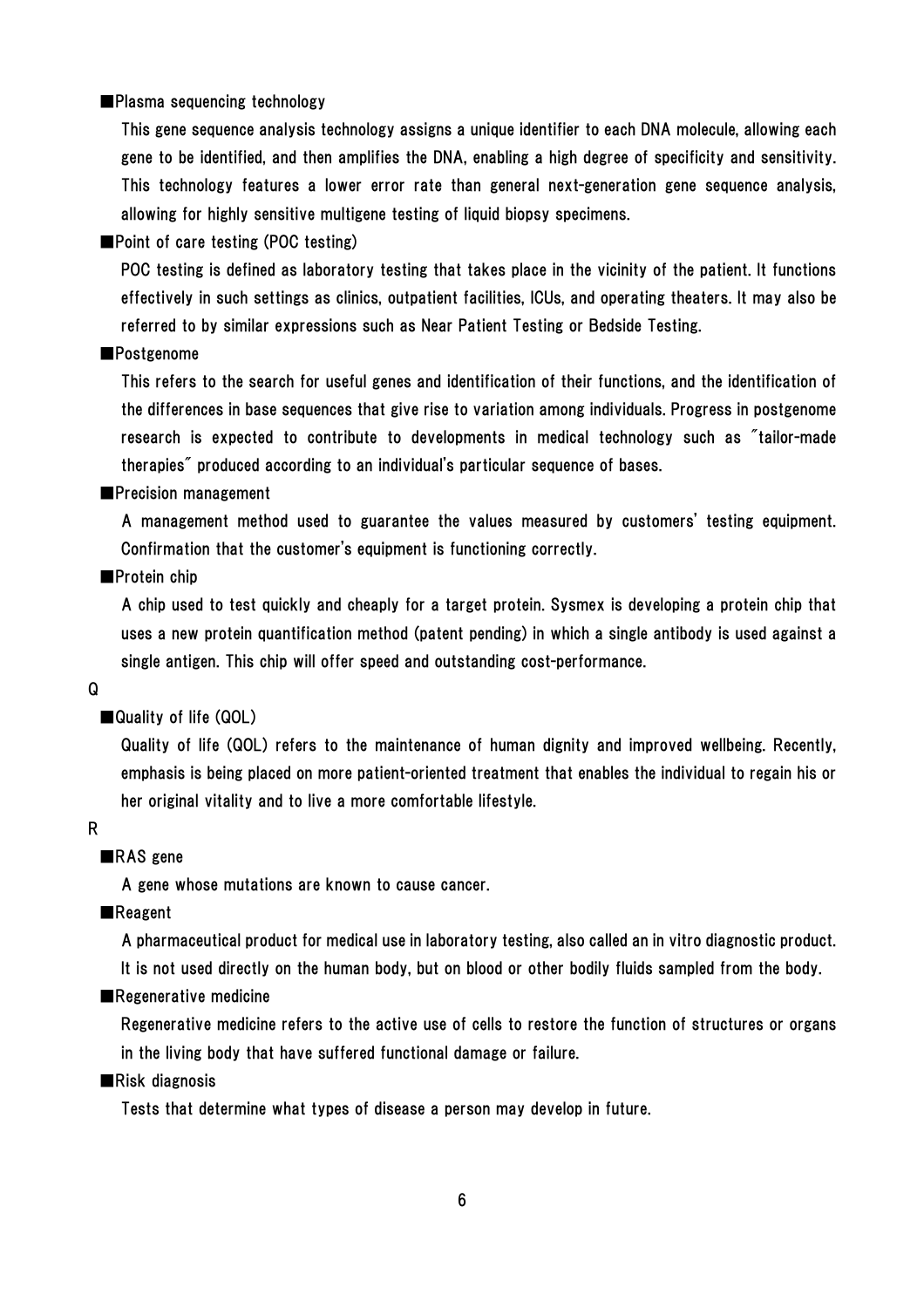■Plasma sequencing technology

This gene sequence analysis technology assigns a unique identifier to each DNA molecule, allowing each gene to be identified, and then amplifies the DNA, enabling a high degree of specificity and sensitivity. This technology features a lower error rate than general next-generation gene sequence analysis, allowing for highly sensitive multigene testing of liquid biopsy specimens.

■Point of care testing (POC testing)

POC testing is defined as laboratory testing that takes place in the vicinity of the patient. It functions effectively in such settings as clinics, outpatient facilities, ICUs, and operating theaters. It may also be referred to by similar expressions such as Near Patient Testing or Bedside Testing.

### ■Postgenome

This refers to the search for useful genes and identification of their functions, and the identification of the differences in base sequences that give rise to variation among individuals. Progress in postgenome research is expected to contribute to developments in medical technology such as "tailor-made therapies" produced according to an individual's particular sequence of bases.

#### ■Precision management

A management method used to guarantee the values measured by customers' testing equipment. Confirmation that the customer's equipment is functioning correctly.

### ■Protein chip

A chip used to test quickly and cheaply for a target protein. Sysmex is developing a protein chip that uses a new protein quantification method (patent pending) in which a single antibody is used against a single antigen. This chip will offer speed and outstanding cost-performance.

#### Q

### ■ Quality of life (QOL)

Quality of life (QOL) refers to the maintenance of human dignity and improved wellbeing. Recently, emphasis is being placed on more patient-oriented treatment that enables the individual to regain his or her original vitality and to live a more comfortable lifestyle.

#### R

### ■RAS gene

A gene whose mutations are known to cause cancer.

#### ■Reagent

A pharmaceutical product for medical use in laboratory testing, also called an in vitro diagnostic product.

It is not used directly on the human body, but on blood or other bodily fluids sampled from the body.

### ■Regenerative medicine

Regenerative medicine refers to the active use of cells to restore the function of structures or organs in the living body that have suffered functional damage or failure.

### ■Risk diagnosis

Tests that determine what types of disease a person may develop in future.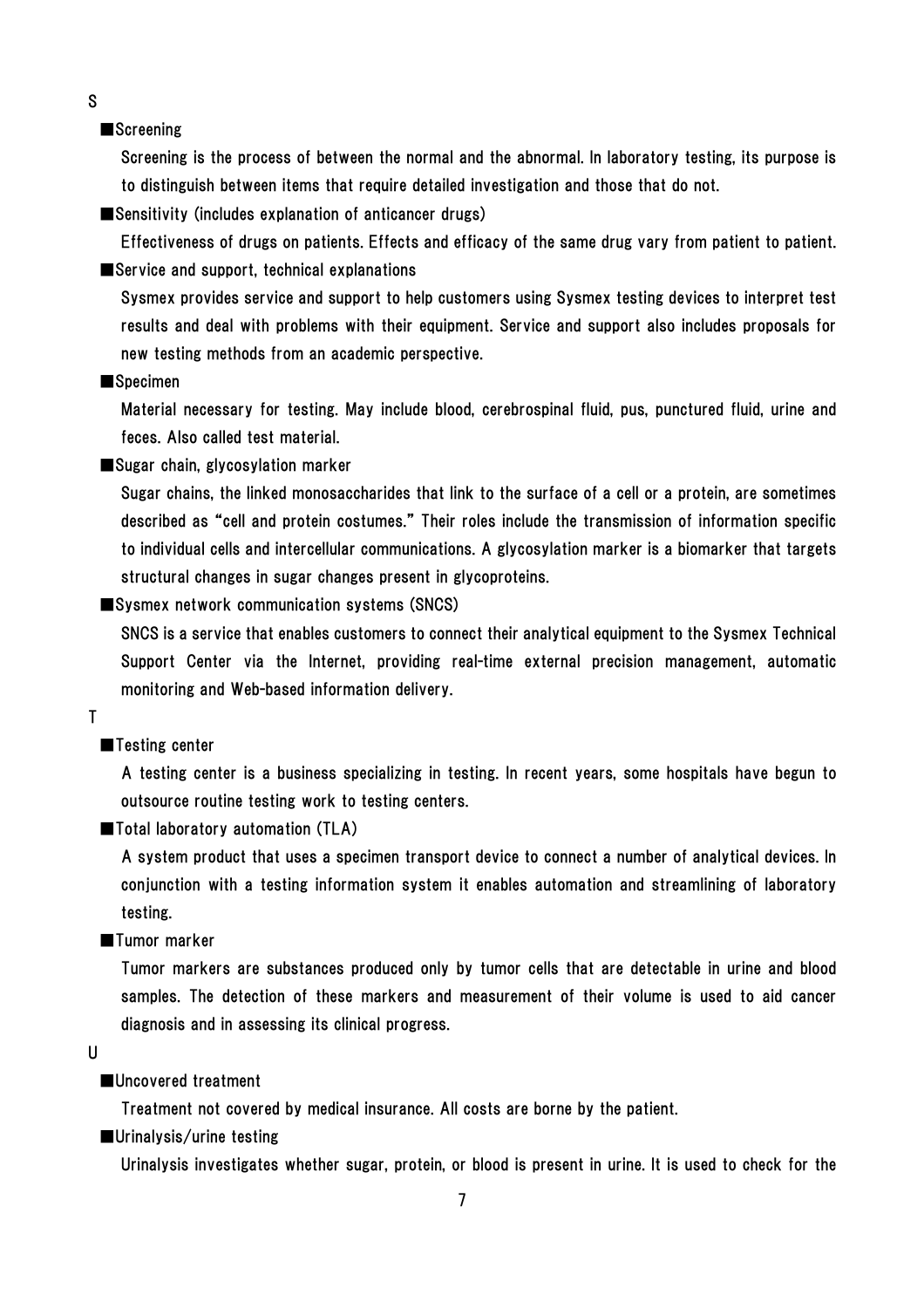S

#### ■Screening

Screening is the process of between the normal and the abnormal. In laboratory testing, its purpose is to distinguish between items that require detailed investigation and those that do not.

■Sensitivity (includes explanation of anticancer drugs)

Effectiveness of drugs on patients. Effects and efficacy of the same drug vary from patient to patient. ■Service and support, technical explanations

Sysmex provides service and support to help customers using Sysmex testing devices to interpret test results and deal with problems with their equipment. Service and support also includes proposals for new testing methods from an academic perspective.

#### ■Specimen

Material necessary for testing. May include blood, cerebrospinal fluid, pus, punctured fluid, urine and feces. Also called test material.

■Sugar chain, glycosylation marker

Sugar chains, the linked monosaccharides that link to the surface of a cell or a protein, are sometimes described as "cell and protein costumes." Their roles include the transmission of information specific to individual cells and intercellular communications. A glycosylation marker is a biomarker that targets structural changes in sugar changes present in glycoproteins.

■Sysmex network communication systems (SNCS)

SNCS is a service that enables customers to connect their analytical equipment to the Sysmex Technical Support Center via the Internet, providing real-time external precision management, automatic monitoring and Web-based information delivery.

#### T

### ■Testing center

A testing center is a business specializing in testing. In recent years, some hospitals have begun to outsource routine testing work to testing centers.

■Total laboratory automation (TLA)

A system product that uses a specimen transport device to connect a number of analytical devices. In conjunction with a testing information system it enables automation and streamlining of laboratory testing.

#### ■Tumor marker

Tumor markers are substances produced only by tumor cells that are detectable in urine and blood samples. The detection of these markers and measurement of their volume is used to aid cancer diagnosis and in assessing its clinical progress.

U

### ■Uncovered treatment

Treatment not covered by medical insurance. All costs are borne by the patient.

■Urinalysis/urine testing

Urinalysis investigates whether sugar, protein, or blood is present in urine. It is used to check for the